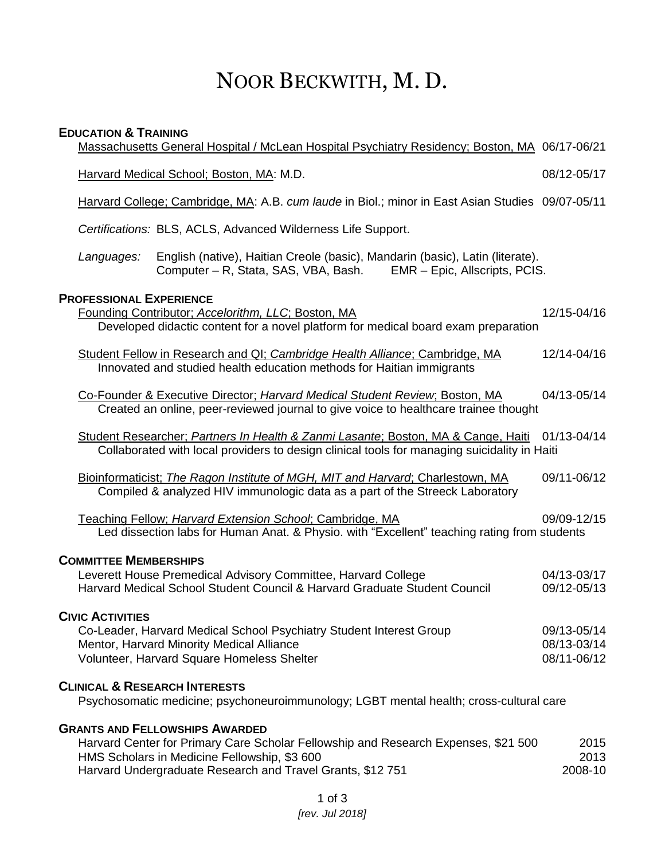# NOOR BECKWITH, M. D.

### **EDUCATION & TRAINING**

|                                                                                                                                                                                           | Massachusetts General Hospital / McLean Hospital Psychiatry Residency; Boston, MA 06/17-06/21                                                                                                                                             |                                           |
|-------------------------------------------------------------------------------------------------------------------------------------------------------------------------------------------|-------------------------------------------------------------------------------------------------------------------------------------------------------------------------------------------------------------------------------------------|-------------------------------------------|
|                                                                                                                                                                                           | Harvard Medical School; Boston, MA: M.D.                                                                                                                                                                                                  | 08/12-05/17                               |
|                                                                                                                                                                                           | Harvard College; Cambridge, MA: A.B. cum laude in Biol.; minor in East Asian Studies 09/07-05/11                                                                                                                                          |                                           |
|                                                                                                                                                                                           | Certifications: BLS, ACLS, Advanced Wilderness Life Support.                                                                                                                                                                              |                                           |
|                                                                                                                                                                                           | English (native), Haitian Creole (basic), Mandarin (basic), Latin (literate).<br>Languages:<br>Computer – R, Stata, SAS, VBA, Bash.<br>EMR - Epic, Allscripts, PCIS.                                                                      |                                           |
| <b>PROFESSIONAL EXPERIENCE</b><br>Founding Contributor; Accelorithm, LLC; Boston, MA<br>12/15-04/16<br>Developed didactic content for a novel platform for medical board exam preparation |                                                                                                                                                                                                                                           |                                           |
|                                                                                                                                                                                           | Student Fellow in Research and QI; Cambridge Health Alliance; Cambridge, MA<br>Innovated and studied health education methods for Haitian immigrants                                                                                      | 12/14-04/16                               |
|                                                                                                                                                                                           | Co-Founder & Executive Director; Harvard Medical Student Review; Boston, MA<br>Created an online, peer-reviewed journal to give voice to healthcare trainee thought                                                                       | 04/13-05/14                               |
|                                                                                                                                                                                           | Student Researcher; Partners In Health & Zanmi Lasante; Boston, MA & Cange, Haiti<br>Collaborated with local providers to design clinical tools for managing suicidality in Haiti                                                         | 01/13-04/14                               |
|                                                                                                                                                                                           | Bioinformaticist; The Ragon Institute of MGH, MIT and Harvard; Charlestown, MA<br>Compiled & analyzed HIV immunologic data as a part of the Streeck Laboratory                                                                            | 09/11-06/12                               |
|                                                                                                                                                                                           | Teaching Fellow; Harvard Extension School; Cambridge, MA<br>Led dissection labs for Human Anat. & Physio. with "Excellent" teaching rating from students                                                                                  | 09/09-12/15                               |
|                                                                                                                                                                                           | <b>COMMITTEE MEMBERSHIPS</b><br>Leverett House Premedical Advisory Committee, Harvard College<br>Harvard Medical School Student Council & Harvard Graduate Student Council                                                                | 04/13-03/17<br>09/12-05/13                |
|                                                                                                                                                                                           | <b>CIVIC ACTIVITIES</b><br>Co-Leader, Harvard Medical School Psychiatry Student Interest Group<br>Mentor, Harvard Minority Medical Alliance<br>Volunteer, Harvard Square Homeless Shelter                                                 | 09/13-05/14<br>08/13-03/14<br>08/11-06/12 |
| <b>CLINICAL &amp; RESEARCH INTERESTS</b><br>Psychosomatic medicine; psychoneuroimmunology; LGBT mental health; cross-cultural care                                                        |                                                                                                                                                                                                                                           |                                           |
|                                                                                                                                                                                           | <b>GRANTS AND FELLOWSHIPS AWARDED</b><br>Harvard Center for Primary Care Scholar Fellowship and Research Expenses, \$21 500<br>HMS Scholars in Medicine Fellowship, \$3 600<br>Harvard Undergraduate Research and Travel Grants, \$12 751 | 2015<br>2013<br>2008-10                   |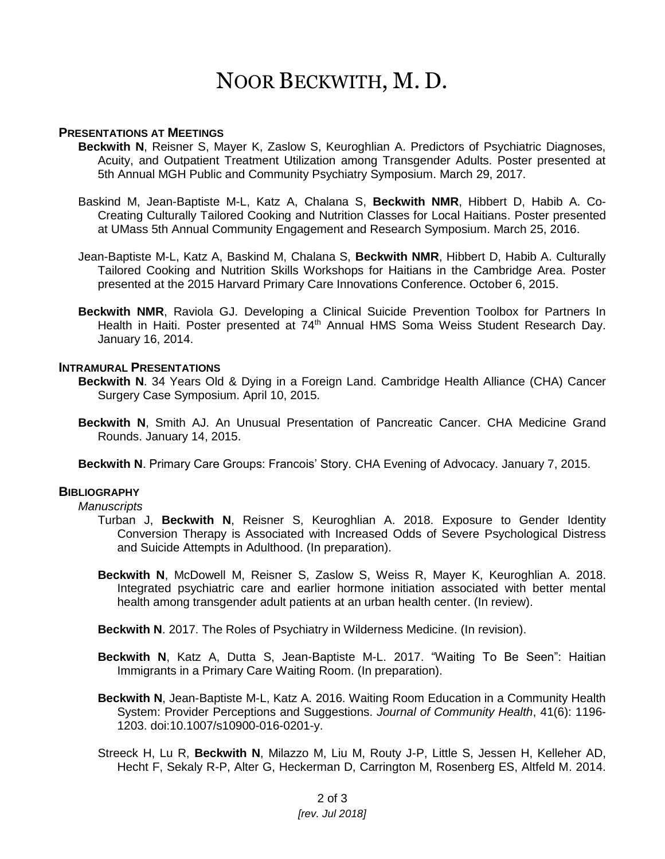## NOOR BECKWITH, M. D.

#### **PRESENTATIONS AT MEETINGS**

- **Beckwith N**, Reisner S, Mayer K, Zaslow S, Keuroghlian A. Predictors of Psychiatric Diagnoses, Acuity, and Outpatient Treatment Utilization among Transgender Adults. Poster presented at 5th Annual MGH Public and Community Psychiatry Symposium. March 29, 2017.
- Baskind M, Jean-Baptiste M-L, Katz A, Chalana S, **Beckwith NMR**, Hibbert D, Habib A. Co-Creating Culturally Tailored Cooking and Nutrition Classes for Local Haitians. Poster presented at UMass 5th Annual Community Engagement and Research Symposium. March 25, 2016.
- Jean-Baptiste M-L, Katz A, Baskind M, Chalana S, **Beckwith NMR**, Hibbert D, Habib A. Culturally Tailored Cooking and Nutrition Skills Workshops for Haitians in the Cambridge Area. Poster presented at the 2015 Harvard Primary Care Innovations Conference. October 6, 2015.
- **Beckwith NMR**, Raviola GJ. Developing a Clinical Suicide Prevention Toolbox for Partners In Health in Haiti. Poster presented at 74<sup>th</sup> Annual HMS Soma Weiss Student Research Day. January 16, 2014.

#### **INTRAMURAL PRESENTATIONS**

- **Beckwith N**. 34 Years Old & Dying in a Foreign Land. Cambridge Health Alliance (CHA) Cancer Surgery Case Symposium. April 10, 2015.
- **Beckwith N**, Smith AJ. An Unusual Presentation of Pancreatic Cancer. CHA Medicine Grand Rounds. January 14, 2015.
- **Beckwith N**. Primary Care Groups: Francois' Story. CHA Evening of Advocacy. January 7, 2015.

#### **BIBLIOGRAPHY**

#### *Manuscripts*

- Turban J, **Beckwith N**, Reisner S, Keuroghlian A. 2018. Exposure to Gender Identity Conversion Therapy is Associated with Increased Odds of Severe Psychological Distress and Suicide Attempts in Adulthood. (In preparation).
- **Beckwith N**, McDowell M, Reisner S, Zaslow S, Weiss R, Mayer K, Keuroghlian A. 2018. Integrated psychiatric care and earlier hormone initiation associated with better mental health among transgender adult patients at an urban health center. (In review).

**Beckwith N**. 2017. The Roles of Psychiatry in Wilderness Medicine. (In revision).

- **Beckwith N**, Katz A, Dutta S, Jean-Baptiste M-L. 2017. "Waiting To Be Seen": Haitian Immigrants in a Primary Care Waiting Room. (In preparation).
- **Beckwith N**, Jean-Baptiste M-L, Katz A. 2016. Waiting Room Education in a Community Health System: Provider Perceptions and Suggestions. *Journal of Community Health*, 41(6): 1196- 1203. doi:10.1007/s10900-016-0201-y.
- Streeck H, Lu R, **Beckwith N**, Milazzo M, Liu M, Routy J-P, Little S, Jessen H, Kelleher AD, Hecht F, Sekaly R-P, Alter G, Heckerman D, Carrington M, Rosenberg ES, Altfeld M. 2014.